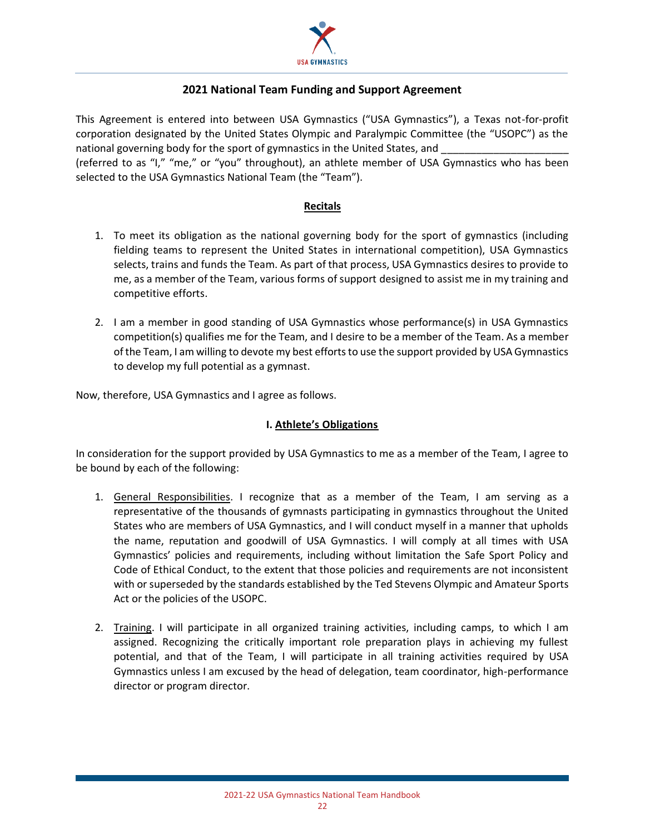

# **2021 National Team Funding and Support Agreement**

This Agreement is entered into between USA Gymnastics ("USA Gymnastics"), a Texas not-for-profit corporation designated by the United States Olympic and Paralympic Committee (the "USOPC") as the national governing body for the sport of gymnastics in the United States, and

(referred to as "I," "me," or "you" throughout), an athlete member of USA Gymnastics who has been selected to the USA Gymnastics National Team (the "Team").

## **Recitals**

- 1. To meet its obligation as the national governing body for the sport of gymnastics (including fielding teams to represent the United States in international competition), USA Gymnastics selects, trains and funds the Team. As part of that process, USA Gymnastics desires to provide to me, as a member of the Team, various forms of support designed to assist me in my training and competitive efforts.
- 2. I am a member in good standing of USA Gymnastics whose performance(s) in USA Gymnastics competition(s) qualifies me for the Team, and I desire to be a member of the Team. As a member of the Team, I am willing to devote my best efforts to use the support provided by USA Gymnastics to develop my full potential as a gymnast.

Now, therefore, USA Gymnastics and I agree as follows.

## **I. Athlete's Obligations**

In consideration for the support provided by USA Gymnastics to me as a member of the Team, I agree to be bound by each of the following:

- 1. General Responsibilities. I recognize that as a member of the Team, I am serving as a representative of the thousands of gymnasts participating in gymnastics throughout the United States who are members of USA Gymnastics, and I will conduct myself in a manner that upholds the name, reputation and goodwill of USA Gymnastics. I will comply at all times with USA Gymnastics' policies and requirements, including without limitation the Safe Sport Policy and Code of Ethical Conduct, to the extent that those policies and requirements are not inconsistent with or superseded by the standards established by the Ted Stevens Olympic and Amateur Sports Act or the policies of the USOPC.
- 2. Training. I will participate in all organized training activities, including camps, to which I am assigned. Recognizing the critically important role preparation plays in achieving my fullest potential, and that of the Team, I will participate in all training activities required by USA Gymnastics unless I am excused by the head of delegation, team coordinator, high-performance director or program director.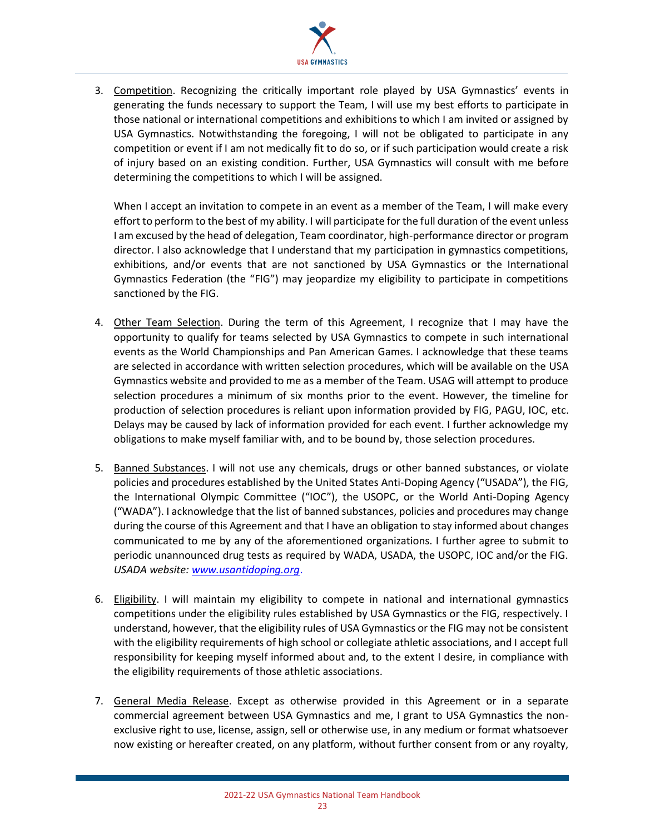

3. Competition. Recognizing the critically important role played by USA Gymnastics' events in generating the funds necessary to support the Team, I will use my best efforts to participate in those national or international competitions and exhibitions to which I am invited or assigned by USA Gymnastics. Notwithstanding the foregoing, I will not be obligated to participate in any competition or event if I am not medically fit to do so, or if such participation would create a risk of injury based on an existing condition. Further, USA Gymnastics will consult with me before determining the competitions to which I will be assigned.

When I accept an invitation to compete in an event as a member of the Team, I will make every effort to perform to the best of my ability. I will participate for the full duration of the event unless I am excused by the head of delegation, Team coordinator, high-performance director or program director. I also acknowledge that I understand that my participation in gymnastics competitions, exhibitions, and/or events that are not sanctioned by USA Gymnastics or the International Gymnastics Federation (the "FIG") may jeopardize my eligibility to participate in competitions sanctioned by the FIG.

- 4. Other Team Selection. During the term of this Agreement, I recognize that I may have the opportunity to qualify for teams selected by USA Gymnastics to compete in such international events as the World Championships and Pan American Games. I acknowledge that these teams are selected in accordance with written selection procedures, which will be available on the USA Gymnastics website and provided to me as a member of the Team. USAG will attempt to produce selection procedures a minimum of six months prior to the event. However, the timeline for production of selection procedures is reliant upon information provided by FIG, PAGU, IOC, etc. Delays may be caused by lack of information provided for each event. I further acknowledge my obligations to make myself familiar with, and to be bound by, those selection procedures.
- 5. Banned Substances. I will not use any chemicals, drugs or other banned substances, or violate policies and procedures established by the United States Anti-Doping Agency ("USADA"), the FIG, the International Olympic Committee ("IOC"), the USOPC, or the World Anti-Doping Agency ("WADA"). I acknowledge that the list of banned substances, policies and procedures may change during the course of this Agreement and that I have an obligation to stay informed about changes communicated to me by any of the aforementioned organizations. I further agree to submit to periodic unannounced drug tests as required by WADA, USADA, the USOPC, IOC and/or the FIG. *USADA website: www.usantidoping.org*.
- 6. Eligibility. I will maintain my eligibility to compete in national and international gymnastics competitions under the eligibility rules established by USA Gymnastics or the FIG, respectively. I understand, however, that the eligibility rules of USA Gymnastics or the FIG may not be consistent with the eligibility requirements of high school or collegiate athletic associations, and I accept full responsibility for keeping myself informed about and, to the extent I desire, in compliance with the eligibility requirements of those athletic associations.
- 7. General Media Release. Except as otherwise provided in this Agreement or in a separate commercial agreement between USA Gymnastics and me, I grant to USA Gymnastics the nonexclusive right to use, license, assign, sell or otherwise use, in any medium or format whatsoever now existing or hereafter created, on any platform, without further consent from or any royalty,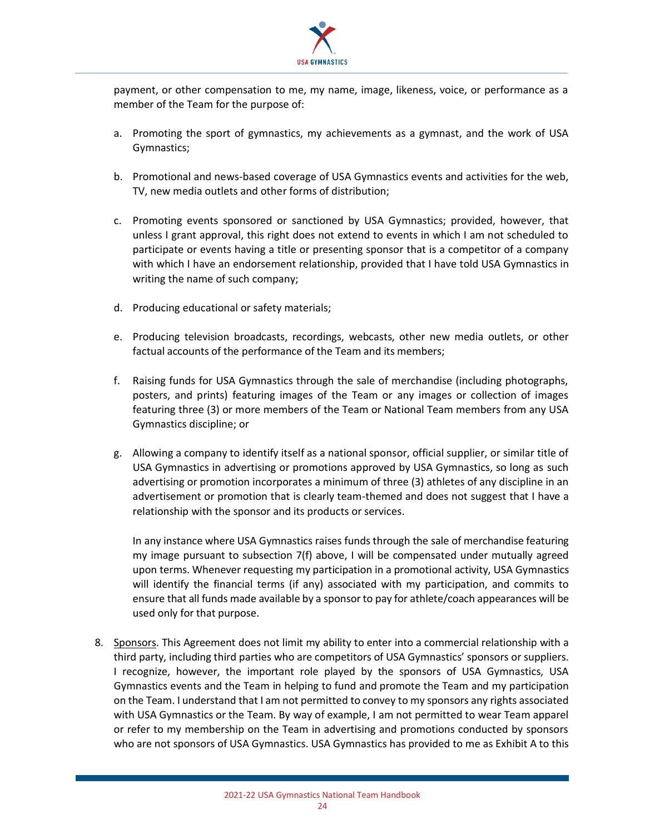

payment, or other compensation to me, my name, image, likeness, voice, or performance as a member of the Team for the purpose of:

- a. Promoting the sport of gymnastics, my achievements as a gymnast, and the work of USA Gymnastics;
- b. Promotional and news-based coverage of USA Gymnastics events and activities for the web, TV, new media outlets and other forms of distribution;
- c. Promoting events sponsored or sanctioned by USA Gymnastics; provided, however, that unless I grant approval, this right does not extend to events in which I am not scheduled to participate or events having a title or presenting sponsor that is a competitor of a company with which I have an endorsement relationship, provided that I have told USA Gymnastics in writing the name of such company;
- d. Producing educational or safety materials;
- e. Producing television broadcasts, recordings, webcasts, other new media outlets, or other factual accounts of the performance of the Team and its members;
- f. Raising funds for USA Gymnastics through the sale of merchandise (including photographs, posters, and prints) featuring images of the Team or any images or collection of images featuring three (3) or more members of the Team or National Team members from any USA Gymnastics discipline; or
- g. Allowing a company to identify itself as a national sponsor, official supplier, or similar title of USA Gymnastics in advertising or promotions approved by USA Gymnastics, so long as such advertising or promotion incorporates a minimum of three (3) athletes of any discipline in an advertisement or promotion that is clearly team-themed and does not suggest that I have a relationship with the sponsor and its products or services.

In any instance where USA Gymnastics raises funds through the sale of merchandise featuring my image pursuant to subsection 7(f) above, I will be compensated under mutually agreed upon terms. Whenever requesting my participation in a promotional activity, USA Gymnastics will identify the financial terms (if any) associated with my participation, and commits to ensure that all funds made available by a sponsor to pay for athlete/coach appearances will be used only for that purpose.

8. Sponsors. This Agreement does not limit my ability to enter into a commercial relationship with a third party, including third parties who are competitors of USA Gymnastics' sponsors or suppliers. I recognize, however, the important role played by the sponsors of USA Gymnastics, USA Gymnastics events and the Team in helping to fund and promote the Team and my participation on the Team. I understand that I am not permitted to convey to my sponsors any rights associated with USA Gymnastics or the Team. By way of example, I am not permitted to wear Team apparel or refer to my membership on the Team in advertising and promotions conducted by sponsors who are not sponsors of USA Gymnastics. USA Gymnastics has provided to me as Exhibit A to this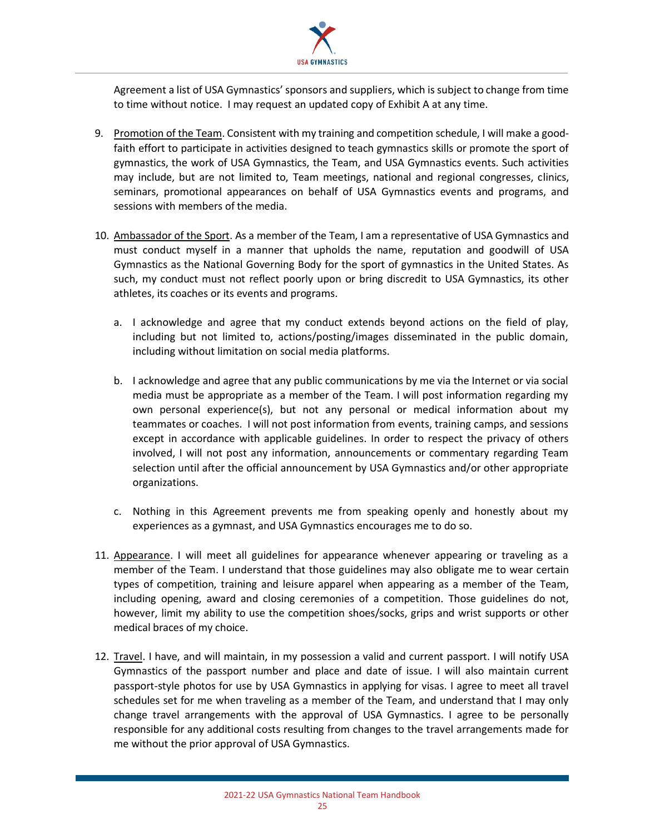

Agreement a list of USA Gymnastics' sponsors and suppliers, which is subject to change from time to time without notice. I may request an updated copy of Exhibit A at any time.

- 9. Promotion of the Team. Consistent with my training and competition schedule, I will make a goodfaith effort to participate in activities designed to teach gymnastics skills or promote the sport of gymnastics, the work of USA Gymnastics, the Team, and USA Gymnastics events. Such activities may include, but are not limited to, Team meetings, national and regional congresses, clinics, seminars, promotional appearances on behalf of USA Gymnastics events and programs, and sessions with members of the media.
- 10. Ambassador of the Sport. As a member of the Team, I am a representative of USA Gymnastics and must conduct myself in a manner that upholds the name, reputation and goodwill of USA Gymnastics as the National Governing Body for the sport of gymnastics in the United States. As such, my conduct must not reflect poorly upon or bring discredit to USA Gymnastics, its other athletes, its coaches or its events and programs.
	- a. I acknowledge and agree that my conduct extends beyond actions on the field of play, including but not limited to, actions/posting/images disseminated in the public domain, including without limitation on social media platforms.
	- b. I acknowledge and agree that any public communications by me via the Internet or via social media must be appropriate as a member of the Team. I will post information regarding my own personal experience(s), but not any personal or medical information about my teammates or coaches. I will not post information from events, training camps, and sessions except in accordance with applicable guidelines. In order to respect the privacy of others involved, I will not post any information, announcements or commentary regarding Team selection until after the official announcement by USA Gymnastics and/or other appropriate organizations.
	- c. Nothing in this Agreement prevents me from speaking openly and honestly about my experiences as a gymnast, and USA Gymnastics encourages me to do so.
- 11. Appearance. I will meet all guidelines for appearance whenever appearing or traveling as a member of the Team. I understand that those guidelines may also obligate me to wear certain types of competition, training and leisure apparel when appearing as a member of the Team, including opening, award and closing ceremonies of a competition. Those guidelines do not, however, limit my ability to use the competition shoes/socks, grips and wrist supports or other medical braces of my choice.
- 12. Travel. I have, and will maintain, in my possession a valid and current passport. I will notify USA Gymnastics of the passport number and place and date of issue. I will also maintain current passport-style photos for use by USA Gymnastics in applying for visas. I agree to meet all travel schedules set for me when traveling as a member of the Team, and understand that I may only change travel arrangements with the approval of USA Gymnastics. I agree to be personally responsible for any additional costs resulting from changes to the travel arrangements made for me without the prior approval of USA Gymnastics.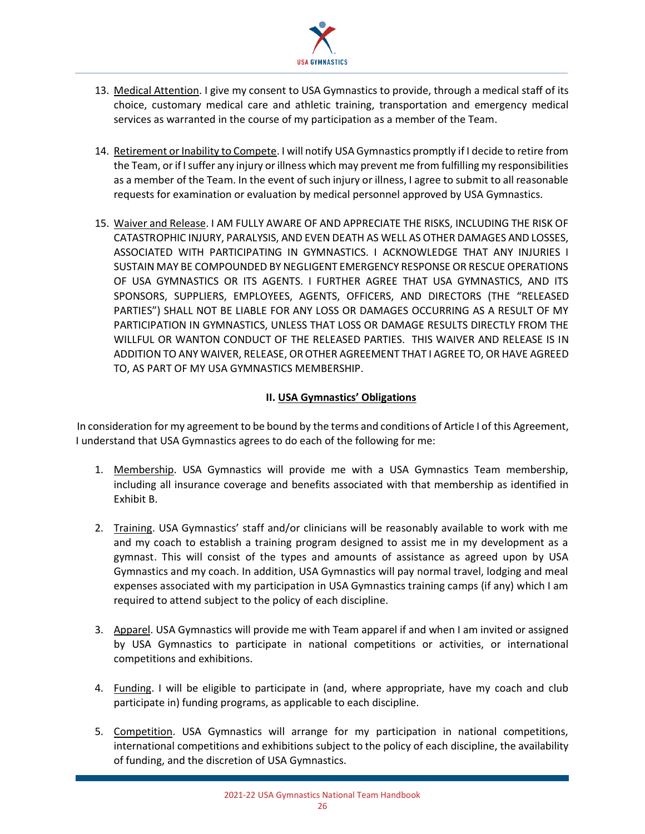

- 13. Medical Attention. I give my consent to USA Gymnastics to provide, through a medical staff of its choice, customary medical care and athletic training, transportation and emergency medical services as warranted in the course of my participation as a member of the Team.
- 14. Retirement or Inability to Compete. I will notify USA Gymnastics promptly if I decide to retire from the Team, or if I suffer any injury or illness which may prevent me from fulfilling my responsibilities as a member of the Team. In the event of such injury or illness, I agree to submit to all reasonable requests for examination or evaluation by medical personnel approved by USA Gymnastics.
- 15. Waiver and Release. I AM FULLY AWARE OF AND APPRECIATE THE RISKS, INCLUDING THE RISK OF CATASTROPHIC INJURY, PARALYSIS, AND EVEN DEATH AS WELL AS OTHER DAMAGES AND LOSSES, ASSOCIATED WITH PARTICIPATING IN GYMNASTICS. I ACKNOWLEDGE THAT ANY INJURIES I SUSTAIN MAY BE COMPOUNDED BY NEGLIGENT EMERGENCY RESPONSE OR RESCUE OPERATIONS OF USA GYMNASTICS OR ITS AGENTS. I FURTHER AGREE THAT USA GYMNASTICS, AND ITS SPONSORS, SUPPLIERS, EMPLOYEES, AGENTS, OFFICERS, AND DIRECTORS (THE "RELEASED PARTIES") SHALL NOT BE LIABLE FOR ANY LOSS OR DAMAGES OCCURRING AS A RESULT OF MY PARTICIPATION IN GYMNASTICS, UNLESS THAT LOSS OR DAMAGE RESULTS DIRECTLY FROM THE WILLFUL OR WANTON CONDUCT OF THE RELEASED PARTIES. THIS WAIVER AND RELEASE IS IN ADDITION TO ANY WAIVER, RELEASE, OR OTHER AGREEMENT THAT I AGREE TO, OR HAVE AGREED TO, AS PART OF MY USA GYMNASTICS MEMBERSHIP.

## **II. USA Gymnastics' Obligations**

In consideration for my agreement to be bound by the terms and conditions of Article I of this Agreement, I understand that USA Gymnastics agrees to do each of the following for me:

- 1. Membership. USA Gymnastics will provide me with a USA Gymnastics Team membership, including all insurance coverage and benefits associated with that membership as identified in Exhibit B.
- 2. Training. USA Gymnastics' staff and/or clinicians will be reasonably available to work with me and my coach to establish a training program designed to assist me in my development as a gymnast. This will consist of the types and amounts of assistance as agreed upon by USA Gymnastics and my coach. In addition, USA Gymnastics will pay normal travel, lodging and meal expenses associated with my participation in USA Gymnastics training camps (if any) which I am required to attend subject to the policy of each discipline.
- 3. Apparel. USA Gymnastics will provide me with Team apparel if and when I am invited or assigned by USA Gymnastics to participate in national competitions or activities, or international competitions and exhibitions.
- 4. Funding. I will be eligible to participate in (and, where appropriate, have my coach and club participate in) funding programs, as applicable to each discipline.
- 5. Competition. USA Gymnastics will arrange for my participation in national competitions, international competitions and exhibitions subject to the policy of each discipline, the availability of funding, and the discretion of USA Gymnastics.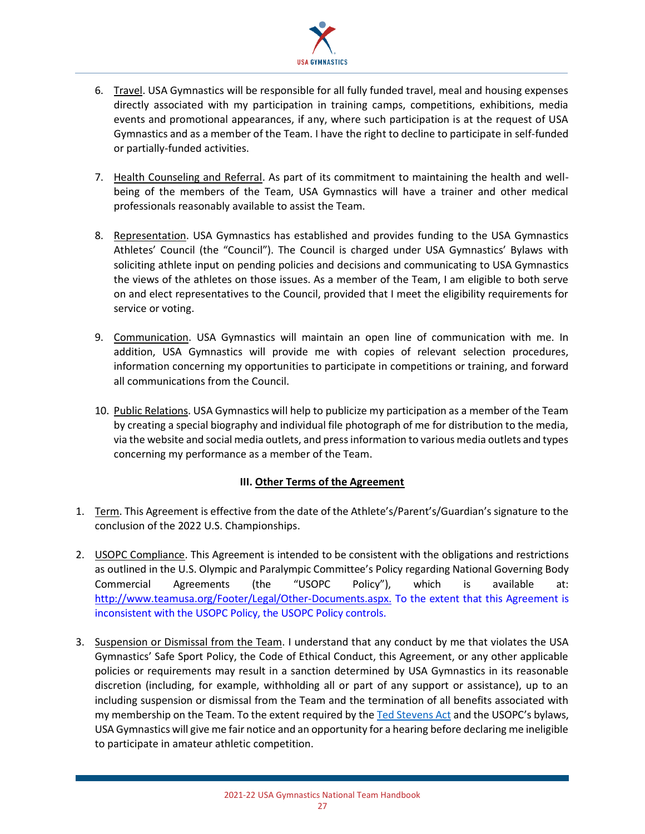

- 6. Travel. USA Gymnastics will be responsible for all fully funded travel, meal and housing expenses directly associated with my participation in training camps, competitions, exhibitions, media events and promotional appearances, if any, where such participation is at the request of USA Gymnastics and as a member of the Team. I have the right to decline to participate in self-funded or partially-funded activities.
- 7. Health Counseling and Referral. As part of its commitment to maintaining the health and wellbeing of the members of the Team, USA Gymnastics will have a trainer and other medical professionals reasonably available to assist the Team.
- 8. Representation. USA Gymnastics has established and provides funding to the USA Gymnastics Athletes' Council (the "Council"). The Council is charged under USA Gymnastics' Bylaws with soliciting athlete input on pending policies and decisions and communicating to USA Gymnastics the views of the athletes on those issues. As a member of the Team, I am eligible to both serve on and elect representatives to the Council, provided that I meet the eligibility requirements for service or voting.
- 9. Communication. USA Gymnastics will maintain an open line of communication with me. In addition, USA Gymnastics will provide me with copies of relevant selection procedures, information concerning my opportunities to participate in competitions or training, and forward all communications from the Council.
- 10. Public Relations. USA Gymnastics will help to publicize my participation as a member of the Team by creating a special biography and individual file photograph of me for distribution to the media, via the website and social media outlets, and press information to various media outlets and types concerning my performance as a member of the Team.

#### **III. Other Terms of the Agreement**

- 1. Term. This Agreement is effective from the date of the Athlete's/Parent's/Guardian's signature to the conclusion of the 2022 U.S. Championships.
- 2. USOPC Compliance. This Agreement is intended to be consistent with the obligations and restrictions as outlined in the U.S. Olympic and Paralympic Committee's Policy regarding National Governing Body Commercial Agreements (the "USOPC Policy"), which is available at: http://www.teamusa.org/Footer/Legal/Other-Documents.aspx. To the extent that this Agreement is inconsistent with the USOPC Policy, the USOPC Policy controls.
- 3. Suspension or Dismissal from the Team. I understand that any conduct by me that violates the USA Gymnastics' Safe Sport Policy, the Code of Ethical Conduct, this Agreement, or any other applicable policies or requirements may result in a sanction determined by USA Gymnastics in its reasonable discretion (including, for example, withholding all or part of any support or assistance), up to an including suspension or dismissal from the Team and the termination of all benefits associated with my membership on the Team. To the extent required by the Ted Stevens Act and the USOPC's bylaws, USA Gymnastics will give me fair notice and an opportunity for a hearing before declaring me ineligible to participate in amateur athletic competition.